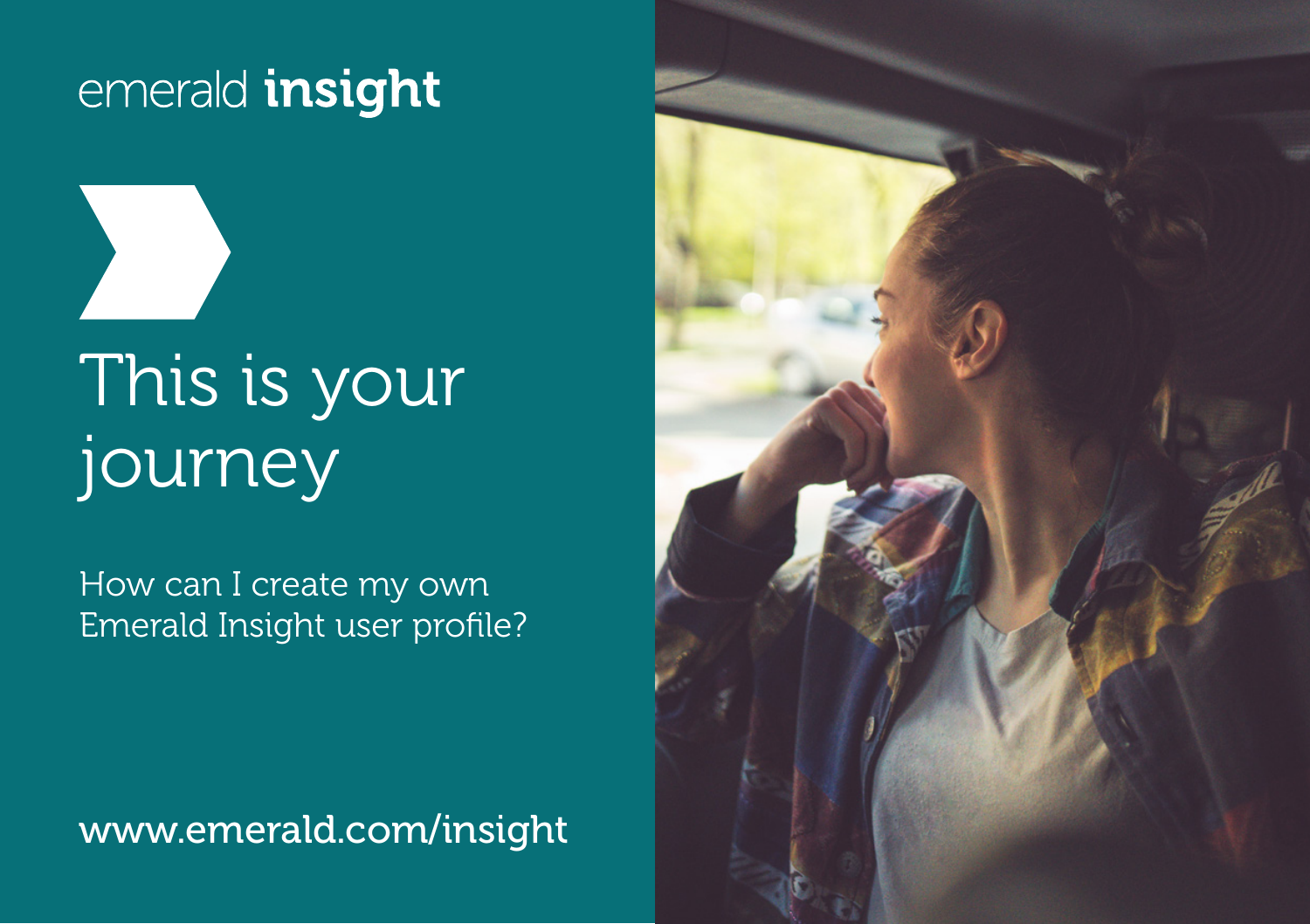# This is your journey

How can I create my own Emerald Insight user profile?

www.emerald.com/insight

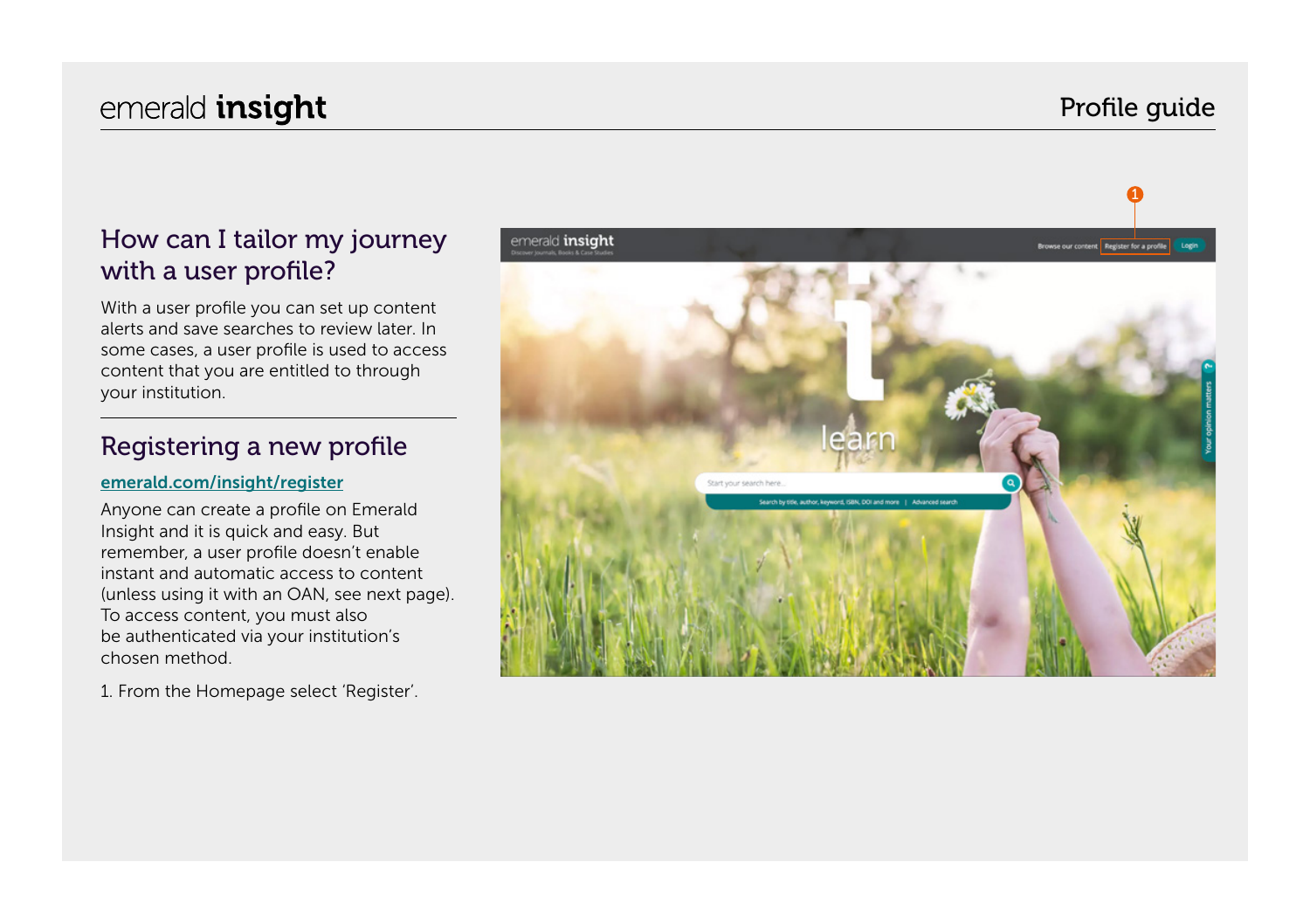### Profile guide

### How can I tailor my journey with a user profile?

With a user profile you can set up content alerts and save searches to review later. In some cases, a user profile is used to access content that you are entitled to through your institution.

#### Registering a new profile

#### [emerald.com/insight/register](https://www.emerald.com/insight/register)

Anyone can create a profile on Emerald Insight and it is quick and easy. But remember, a user profile doesn't enable instant and automatic access to content (unless using it with an OAN, see next page). To access content, you must also be authenticated via your institution's chosen method.

1. From the Homepage select 'Register'.

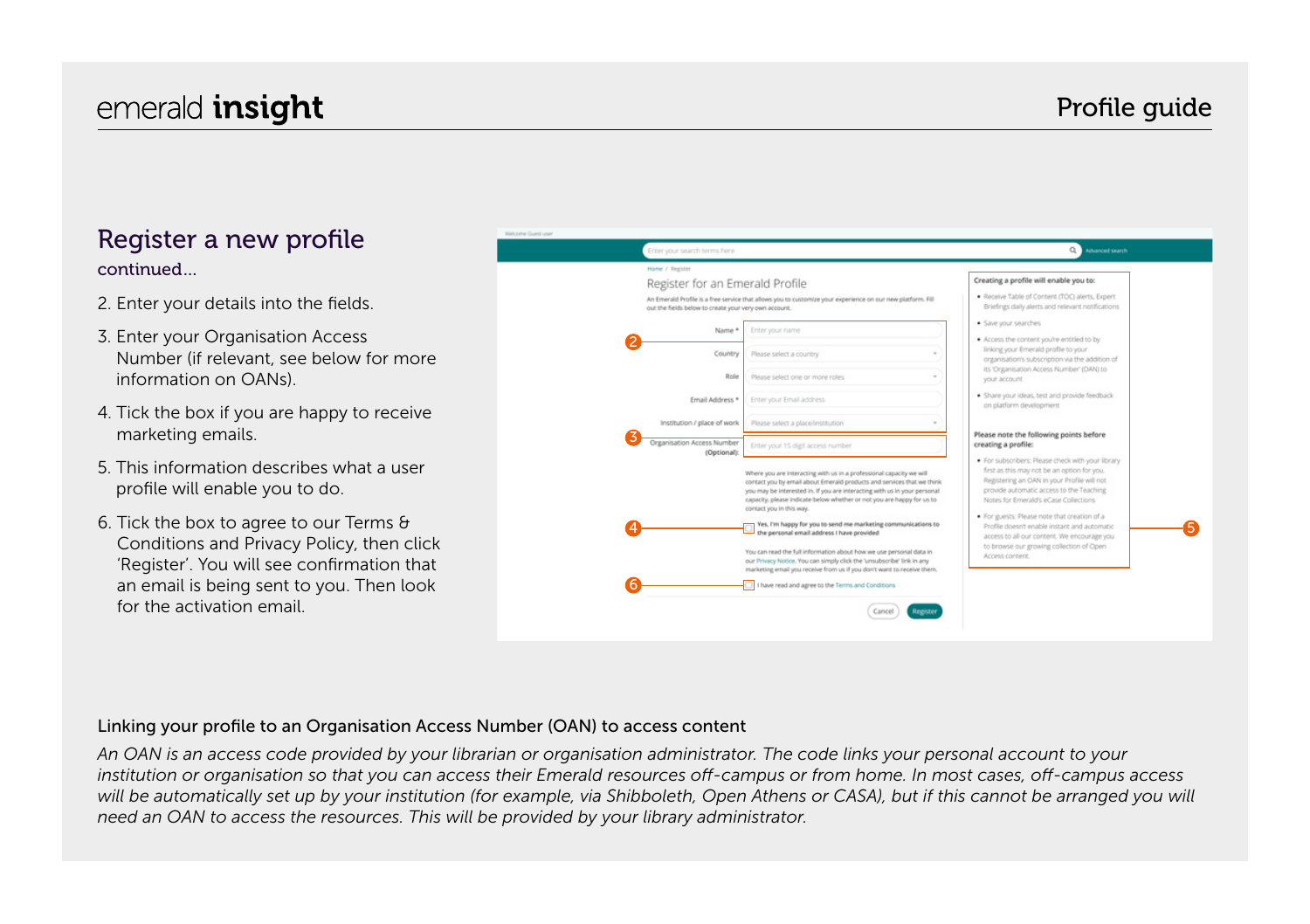## emerald **insight** emerald **insight** emeral contract to the extent of the extent of the extent of the extent of the extent of the extent of the extent of the extent of the extent of the extent of the extent of the extent of

#### Register a new profile continued…

- 2. Enter your details into the fields.
- 3. Enter your Organisation Access Number (if relevant, see below for more information on OANs).
- 4. Tick the box if you are happy to receive marketing emails.
- 5. This information describes what a user profile will enable you to do.
- 6. Tick the box to agree to our Terms & Conditions and Privacy Policy, then click 'Register'. You will see confirmation that an email is being sent to you. Then look for the activation email.

| Home / Register                                       |                                                                                                                                                                                                                                                                                                                                                                                                                                                                                                                                                                                                                                                                                                                                  | Creating a profile will enable you to:                                                                                                                                                                                                                                                                                                                                                                                                             |
|-------------------------------------------------------|----------------------------------------------------------------------------------------------------------------------------------------------------------------------------------------------------------------------------------------------------------------------------------------------------------------------------------------------------------------------------------------------------------------------------------------------------------------------------------------------------------------------------------------------------------------------------------------------------------------------------------------------------------------------------------------------------------------------------------|----------------------------------------------------------------------------------------------------------------------------------------------------------------------------------------------------------------------------------------------------------------------------------------------------------------------------------------------------------------------------------------------------------------------------------------------------|
| Register for an Emerald Profile                       |                                                                                                                                                                                                                                                                                                                                                                                                                                                                                                                                                                                                                                                                                                                                  |                                                                                                                                                                                                                                                                                                                                                                                                                                                    |
| out the fields below to create your very own account. | An Emerald Profile is a free service that allows you to customize your experience on our new platform. Fill                                                                                                                                                                                                                                                                                                                                                                                                                                                                                                                                                                                                                      | . Receive Table of Content (TOC) alerts, Expert<br>Briefings daily alerts and relevant notifications                                                                                                                                                                                                                                                                                                                                               |
| Name *                                                | Enter your name                                                                                                                                                                                                                                                                                                                                                                                                                                                                                                                                                                                                                                                                                                                  | · Save your searches<br>. Access the content you're entitled to by                                                                                                                                                                                                                                                                                                                                                                                 |
| Country                                               | Please select a country                                                                                                                                                                                                                                                                                                                                                                                                                                                                                                                                                                                                                                                                                                          | linking your Emerald profile to your<br>organisation's subscription via the addition of                                                                                                                                                                                                                                                                                                                                                            |
| Role                                                  | Please select one or more roles<br>٠                                                                                                                                                                                                                                                                                                                                                                                                                                                                                                                                                                                                                                                                                             | its 'Organisation Access Number' (DAN) to<br>your account.                                                                                                                                                                                                                                                                                                                                                                                         |
| Email Address *                                       | Enter your Email address                                                                                                                                                                                                                                                                                                                                                                                                                                                                                                                                                                                                                                                                                                         | · Share your ideas, test and provide feedback<br>on platform development                                                                                                                                                                                                                                                                                                                                                                           |
| Institution / place of work                           | Please select a place/institution                                                                                                                                                                                                                                                                                                                                                                                                                                                                                                                                                                                                                                                                                                |                                                                                                                                                                                                                                                                                                                                                                                                                                                    |
| Organisation Access Number<br>(Optional):             | Enter your 15 digit access number                                                                                                                                                                                                                                                                                                                                                                                                                                                                                                                                                                                                                                                                                                | Please note the following points before<br>creating a profile:                                                                                                                                                                                                                                                                                                                                                                                     |
|                                                       | Where you are interacting with us in a professional capacity we will<br>contact you by email about Emerald products and services that we think<br>you may be interested in. If you are interacting with us in your personal<br>capacity, please indicate below whether or not you are happy for us to<br>contact you in this way.<br>Yes, I'm happy for you to send me marketing communications to<br>the personal email address I have provided<br>You can read the full information about how we use personal data in<br>our Privacy Notice. You can simply click the 'unsubscribe' link in any<br>marketing email you receive from us if you don't want to receive them.<br>I have read and agree to the Terms and Conditions | · For subscribers: Please check with your library<br>first as this may not be an option for you.<br>Registering an OAN in your Profile will not<br>provide automatic access to the Teaching<br>Notes for Emerald's eCase Collections<br>. For guests: Please note that creation of a<br>Profile doesn't enable instant and automatic<br>access to all our content. We encourage you<br>to browse our growing collection of Open<br>Access content. |

#### Linking your profile to an Organisation Access Number (OAN) to access content

*An OAN is an access code provided by your librarian or organisation administrator. The code links your personal account to your institution or organisation so that you can access their Emerald resources off-campus or from home. In most cases, off-campus access*  will be automatically set up by your institution (for example, via Shibboleth, Open Athens or CASA), but if this cannot be arranged you will *need an OAN to access the resources. This will be provided by your library administrator.*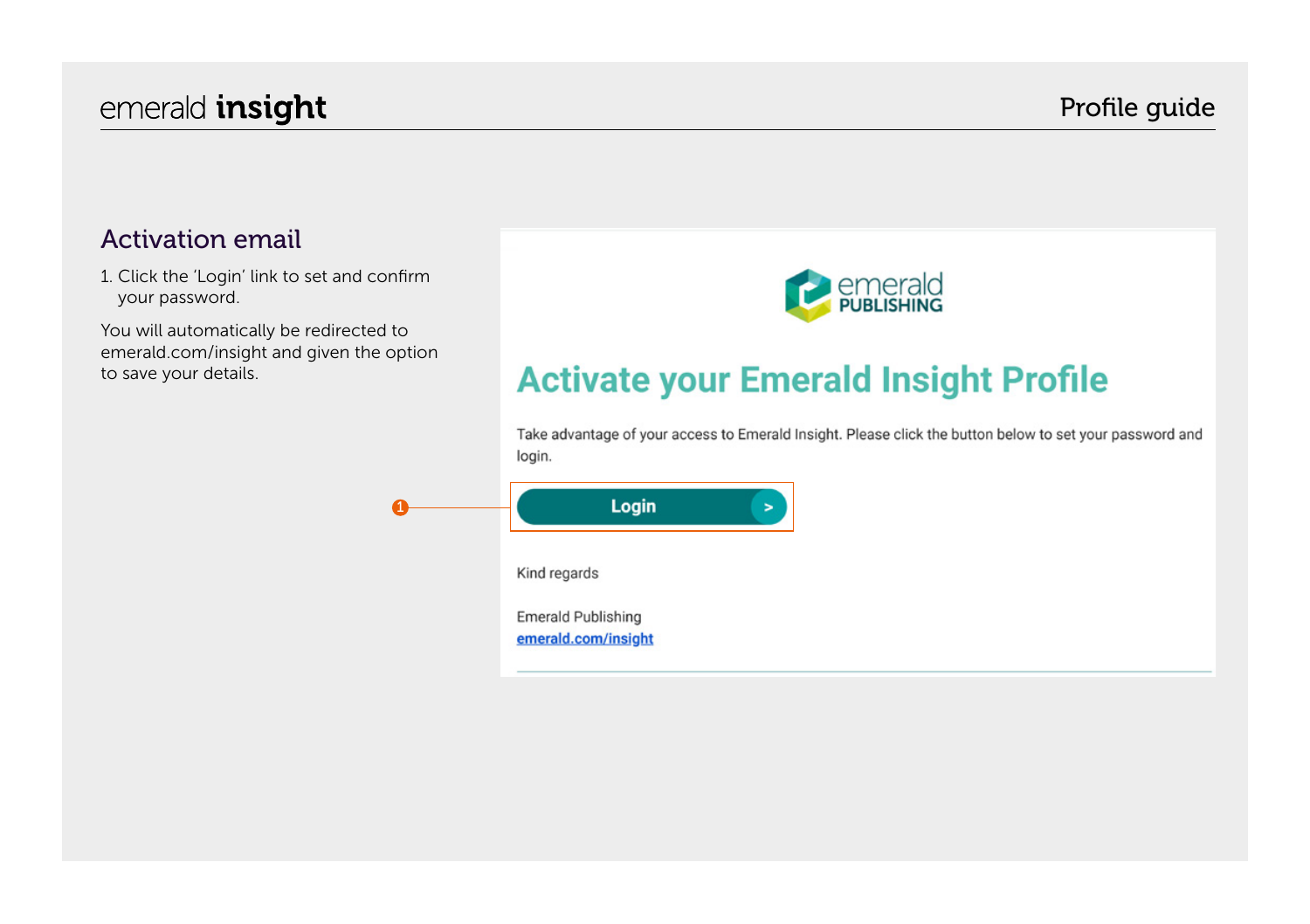#### Profile guide

#### Activation email

1. Click the 'Login' link to set and confirm your password.

You will automatically be redirected to emerald.com/insight and given the option to save your details.



# **Activate your Emerald Insight Profile**

Take advantage of your access to Emerald Insight. Please click the button below to set your password and login.

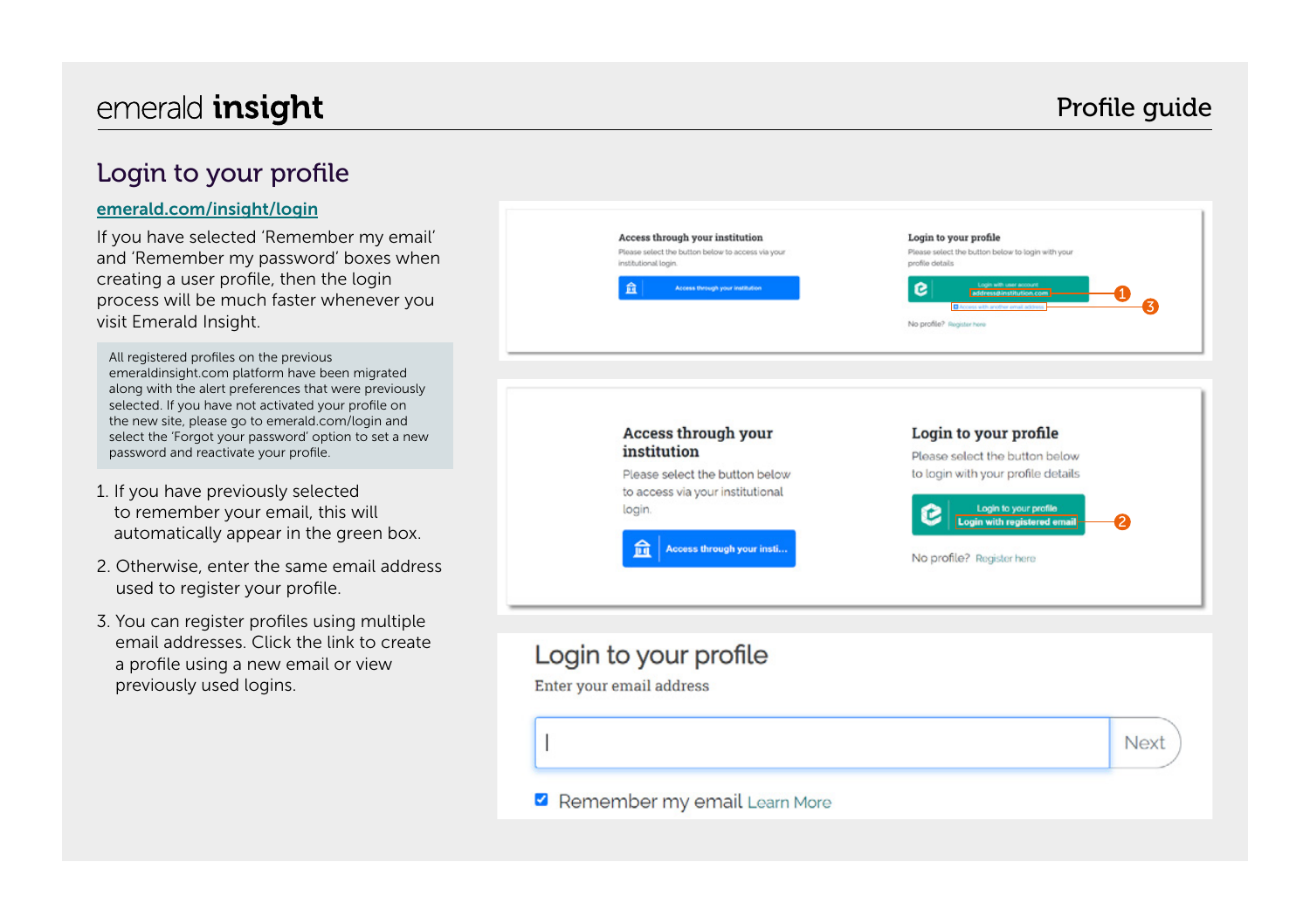## emerald **insight** emerald **insight** emerald **insight**

#### Login to your profile

#### [emerald.com/insight/login](https://www.emerald.com/login)

If you have selected 'Remember my email' and 'Remember my password' boxes when creating a user profile, then the login process will be much faster whenever you visit Emerald Insight.

All registered profiles on the previous emeraldinsight.com platform have been migrated along with the alert preferences that were previously selected. If you have not activated your profile on the new site, please go to emerald.com/login and select the 'Forgot your password' option to set a new password and reactivate your profile.

- 1. If you have previously selected to remember your email, this will automatically appear in the green box.
- 2. Otherwise, enter the same email address used to register your profile.
- 3. You can register profiles using multiple email addresses. Click the link to create a profile using a new email or view previously used logins.

|   | Access through your institution<br>Please select the button below to access via your<br>institutional login.<br>盫<br>Access through your institution        | Login to your profile<br>Please select the button below to login with your<br>profile details<br>Login with user account<br>e<br>address@institution.com<br>No profile? Register here   |
|---|-------------------------------------------------------------------------------------------------------------------------------------------------------------|-----------------------------------------------------------------------------------------------------------------------------------------------------------------------------------------|
|   | <b>Access through your</b><br>institution<br>Please select the button below<br>to access via your institutional<br>login.<br>侖<br>Access through your insti | Login to your profile<br>Please select the button below<br>to login with your profile details<br>Login to your profile<br>с<br>Login with registered email<br>No profile? Register here |
|   | Login to your profile<br>Enter your email address                                                                                                           | <b>Next</b>                                                                                                                                                                             |
| I | Remember my email Learn More                                                                                                                                |                                                                                                                                                                                         |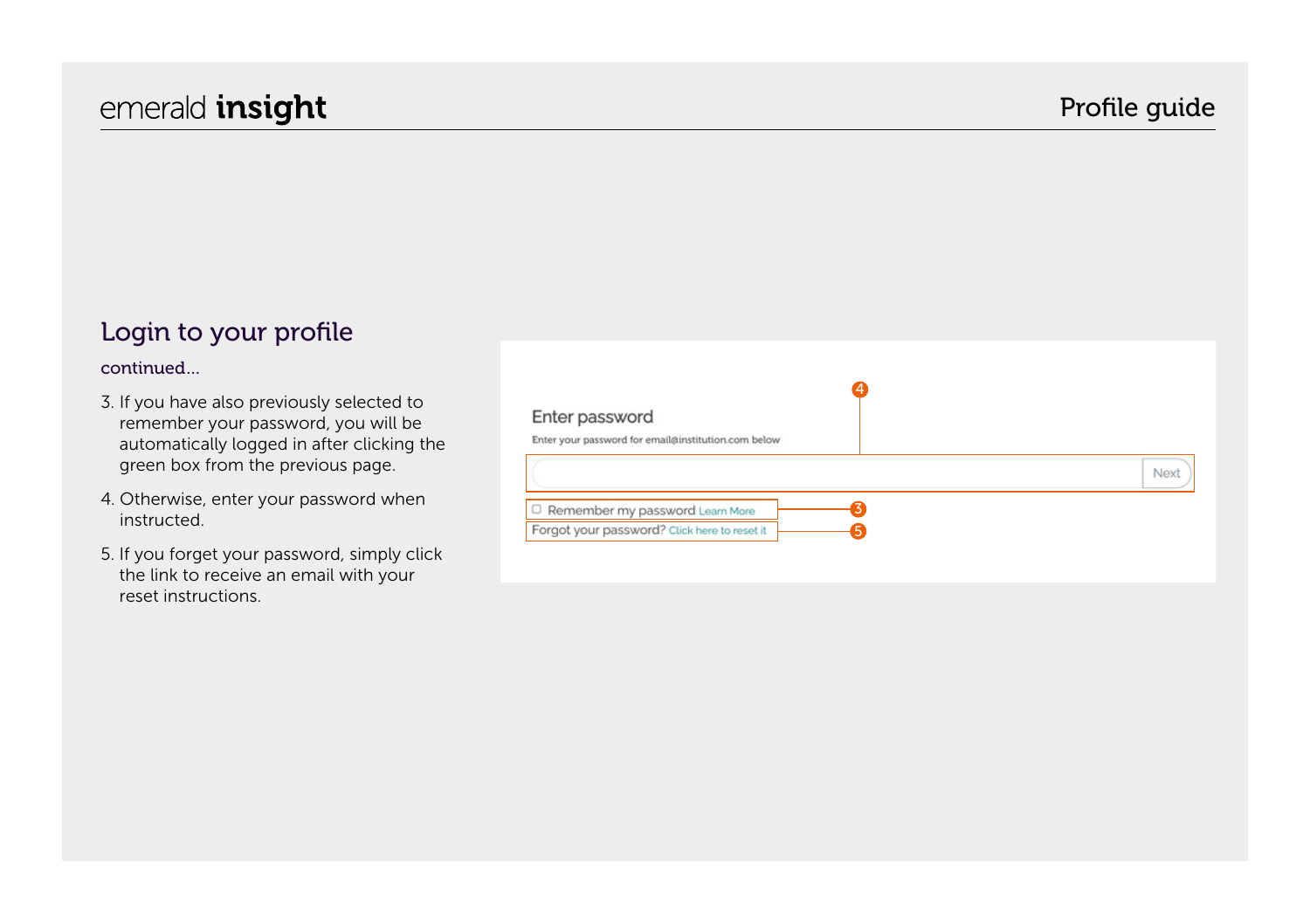#### Login to your profile

#### continued…

- 3. If you have also previously selected to remember your password, you will be automatically logged in after clicking the green box from the previous page.
- 4. Otherwise, enter your password when instructed.
- 5. If you forget your password, simply click the link to receive an email with your reset instructions.

| Enter password                                      |  |      |
|-----------------------------------------------------|--|------|
| Enter your password for email@institution.com below |  |      |
|                                                     |  | Next |
| C Remember my password Learn More                   |  |      |
| Forgot your password? Click here to reset it        |  |      |
|                                                     |  |      |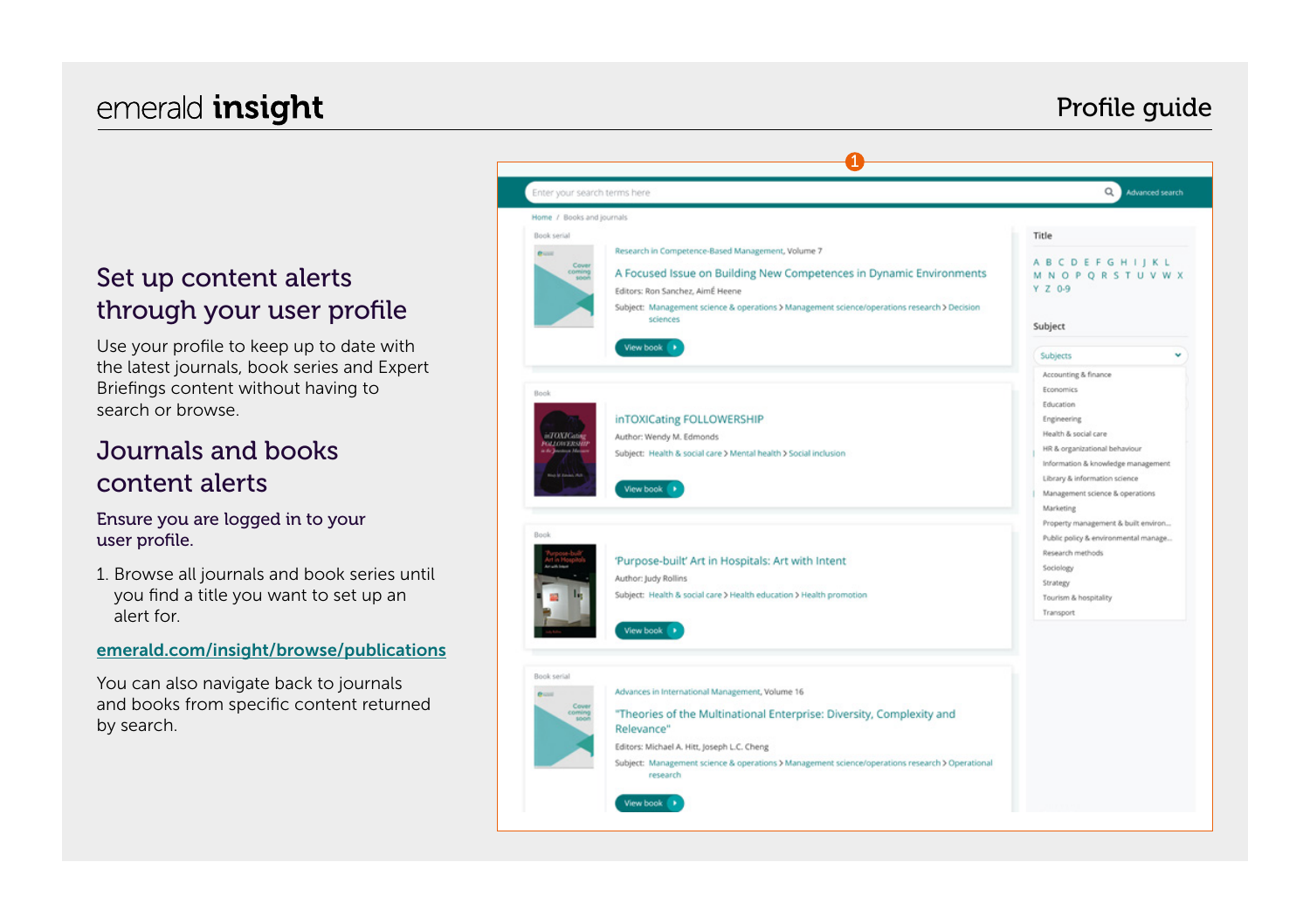## emerald **insight** emerald **insight** emeral contract to the extent of the extent of the extent of the extent of the extent of the extent of the extent of the extent of the extent of the extent of the extent of the extent of

#### Set up content alerts through your user profile

Use your profile to keep up to date with the latest journals, book series and Expert Briefings content without having to search or browse.

#### Journals and books content alerts

#### Ensure you are logged in to your user profile.

1. Browse all journals and book series until you find a title you want to set up an alert for.

#### [emerald.com/insight/browse/publications](https://www.emerald.com/insight/browse/publications)

You can also navigate back to journals and books from specific content returned by search.

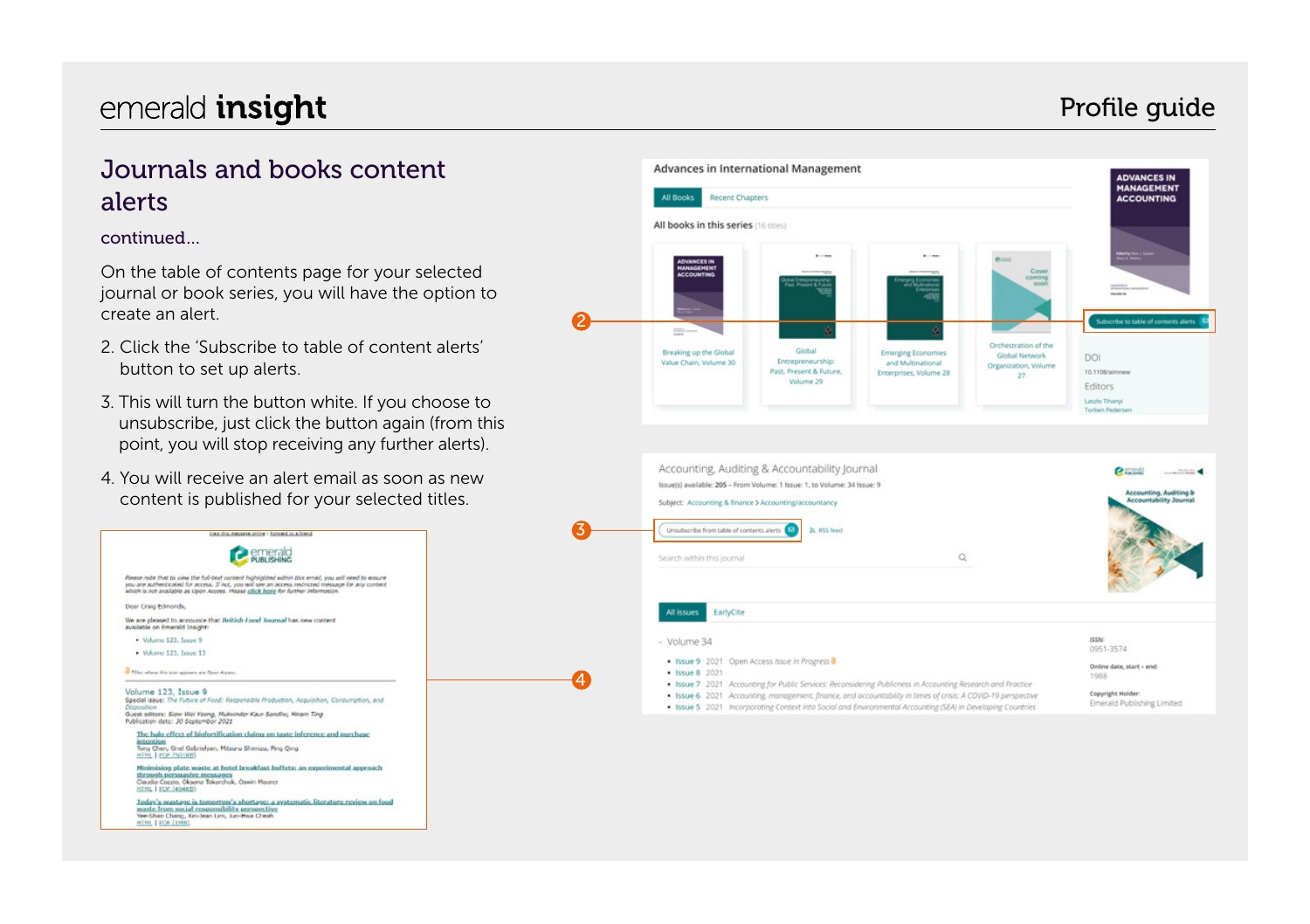### Profile guide

### Journals and books content alerts

#### continued…

On the table of contents page for your selected journal or book series, you will have the option to create an alert.

- 2. Click the 'Subscribe to table of content alerts' button to set up alerts.
- 3. This will turn the button white. If you choose to unsubscribe, just click the button again (from this point, you will stop receiving any further alerts).
- 4. You will receive an alert email as soon as new content is published for your selected titles.



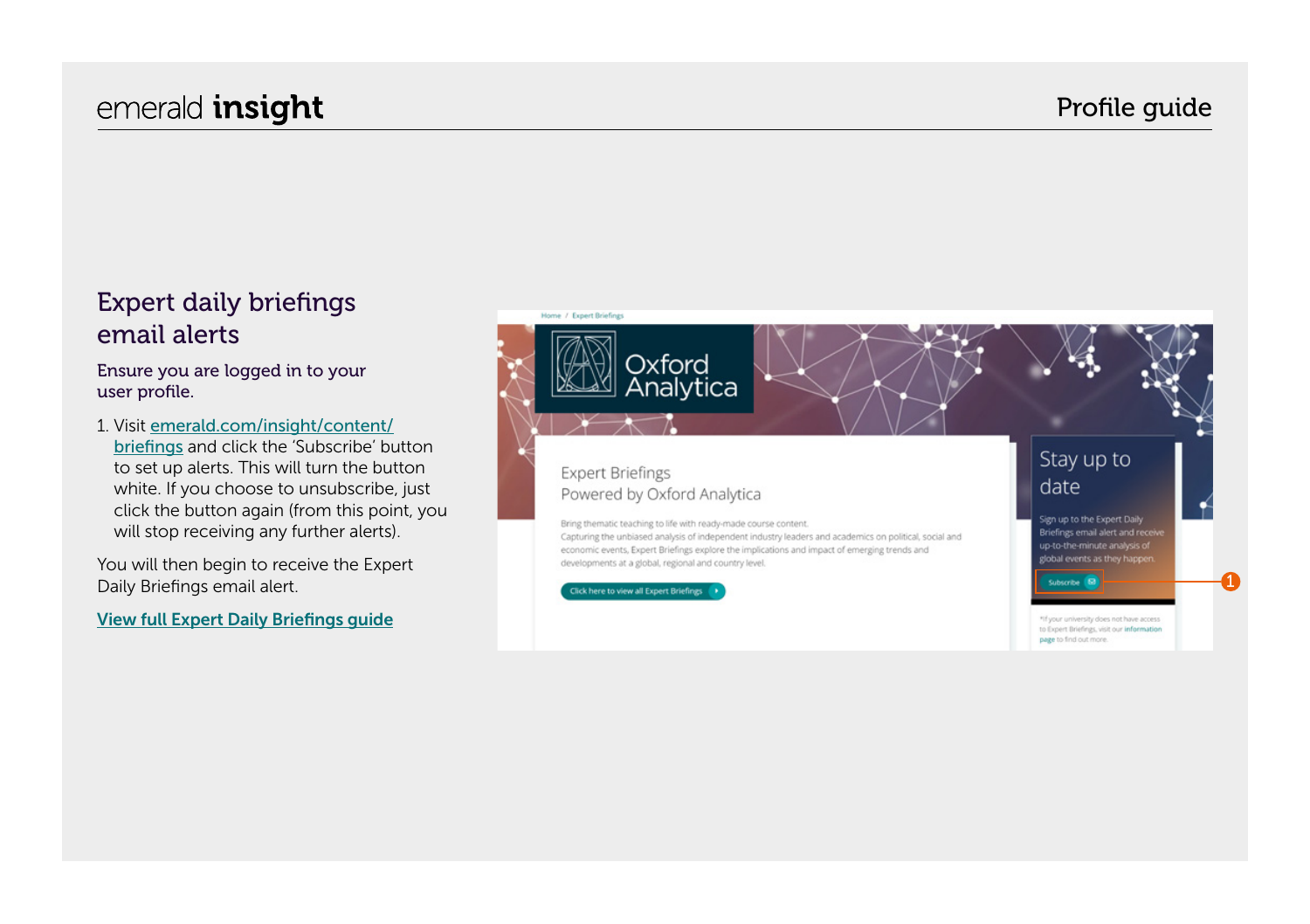### emerald **insight** emerald **insight** emerald **insight**

### Expert daily briefings email alerts

#### Ensure you are logged in to your user profile.

1. Visit [emerald.com/insight/content/](https://www.emerald.com/insight/content/briefings) [briefings](https://www.emerald.com/insight/content/briefings) and click the 'Subscribe' button to set up alerts. This will turn the button white. If you choose to unsubscribe, just click the button again (from this point, you will stop receiving any further alerts).

You will then begin to receive the Expert Daily Briefings email alert.

[View full Expert Daily Briefings guide](tk.emeraldgrouppublishing.com/exbr-alerts)

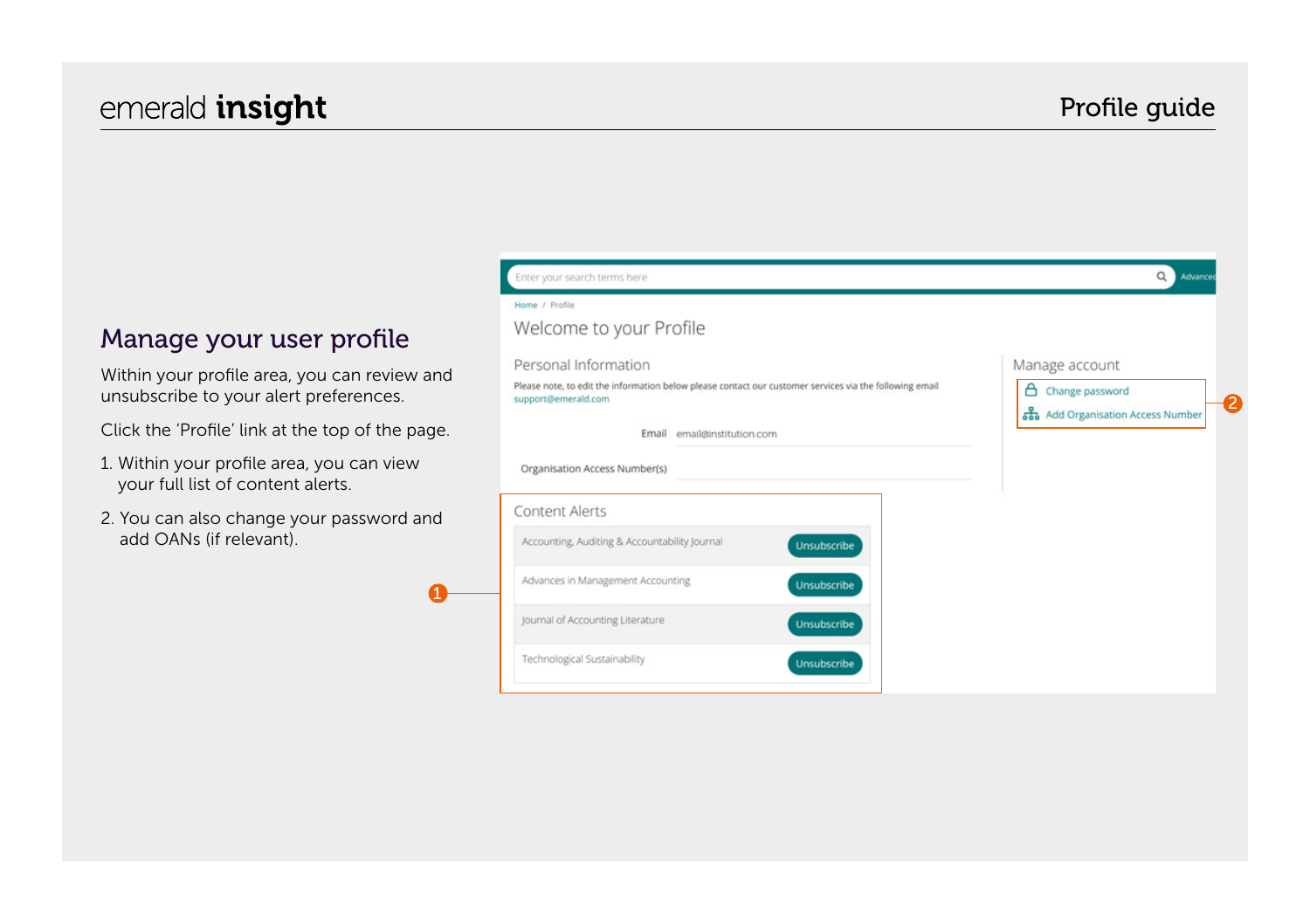### Profile guide

#### Manage your user profile

Within your profile area, you can review and unsubscribe to your alert preferences.

Click the 'Profile' link at the top of the page.

- 1. Within your profile area, you can view your full list of content alerts.
- 2. You can also change your password and add OANs (if relevant).

1

| Home / Profile                                                                                                                 |             |                                   |
|--------------------------------------------------------------------------------------------------------------------------------|-------------|-----------------------------------|
| Welcome to your Profile                                                                                                        |             |                                   |
| Personal Information                                                                                                           |             | Manage account                    |
| Please note, to edit the information below please contact our customer services via the following email<br>support@emerald.com |             | Α<br>Change password              |
|                                                                                                                                |             | as Add Organisation Access Number |
| Email<br>email@institution.com                                                                                                 |             |                                   |
| Organisation Access Number(s)                                                                                                  |             |                                   |
| Content Alerts                                                                                                                 |             |                                   |
|                                                                                                                                | Unsubscribe |                                   |
| Accounting, Auditing & Accountability Journal                                                                                  |             |                                   |
| Advances in Management Accounting                                                                                              | Unsubscribe |                                   |
| Journal of Accounting Literature                                                                                               | Unsubscribe |                                   |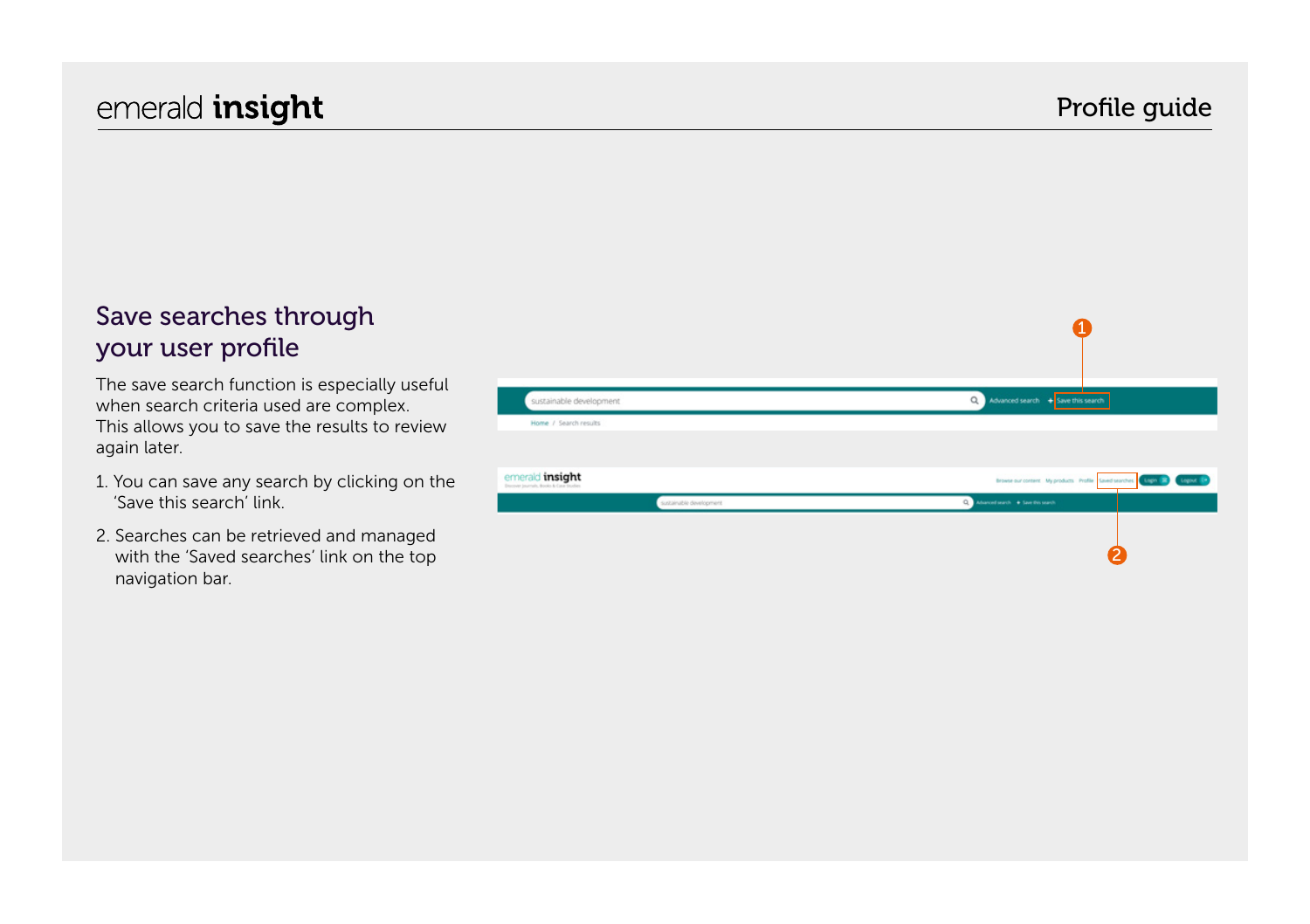#### Save searches through your user profile

The save search function is especially useful when search criteria used are complex. This allows you to save the results to review again later.

- 1. You can save any search by clicking on the 'Save this search' link.
- 2. Searches can be retrieved and managed with the 'Saved searches' link on the top navigation bar.

| sustainable development                                   | Q Advanced search + Save this search                                             |
|-----------------------------------------------------------|----------------------------------------------------------------------------------|
| Home / Search results                                     |                                                                                  |
|                                                           |                                                                                  |
|                                                           |                                                                                  |
| emerald insight<br>Doctver journals, Books & Case Studies | Browse our content. My products. Profile. Saved searches. (Light. 2) Chapter (C) |
| sustainable development                                   | $\alpha$<br>Advanced search + Save this search                                   |
|                                                           |                                                                                  |
|                                                           |                                                                                  |
|                                                           |                                                                                  |